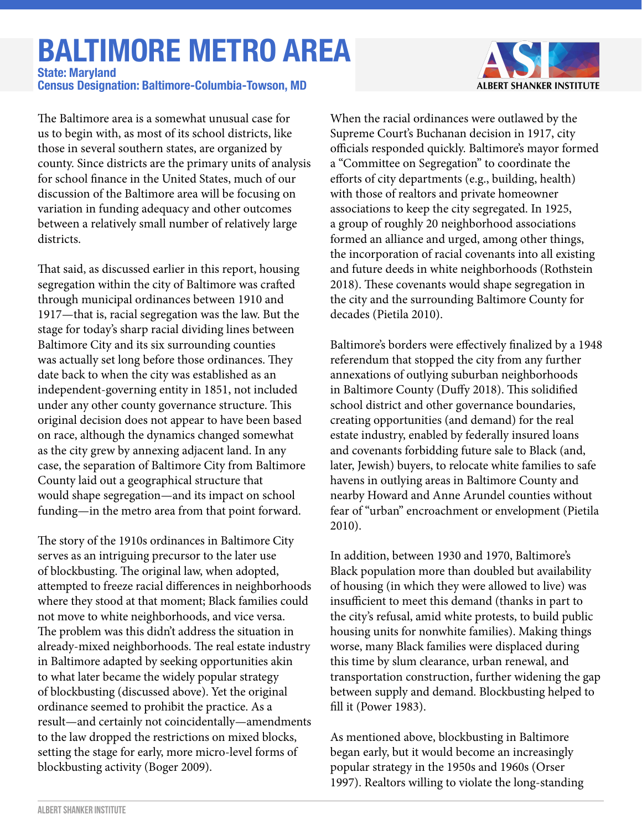## **BALTIMORE METRO AREA**

**Census Designation: Baltimore-Columbia-Towson, MD State: Maryland**

The Baltimore area is a somewhat unusual case for us to begin with, as most of its school districts, like those in several southern states, are organized by county. Since districts are the primary units of analysis for school finance in the United States, much of our discussion of the Baltimore area will be focusing on variation in funding adequacy and other outcomes between a relatively small number of relatively large districts.

That said, as discussed earlier in this report, housing segregation within the city of Baltimore was crafted through municipal ordinances between 1910 and 1917—that is, racial segregation was the law. But the stage for today's sharp racial dividing lines between Baltimore City and its six surrounding counties was actually set long before those ordinances. They date back to when the city was established as an independent-governing entity in 1851, not included under any other county governance structure. This original decision does not appear to have been based on race, although the dynamics changed somewhat as the city grew by annexing adjacent land. In any case, the separation of Baltimore City from Baltimore County laid out a geographical structure that would shape segregation—and its impact on school funding—in the metro area from that point forward.

The story of the 1910s ordinances in Baltimore City serves as an intriguing precursor to the later use of blockbusting. The original law, when adopted, attempted to freeze racial differences in neighborhoods where they stood at that moment; Black families could not move to white neighborhoods, and vice versa. The problem was this didn't address the situation in already-mixed neighborhoods. The real estate industry in Baltimore adapted by seeking opportunities akin to what later became the widely popular strategy of blockbusting (discussed above). Yet the original ordinance seemed to prohibit the practice. As a result—and certainly not coincidentally—amendments to the law dropped the restrictions on mixed blocks, setting the stage for early, more micro-level forms of blockbusting activity (Boger 2009).



When the racial ordinances were outlawed by the Supreme Court's Buchanan decision in 1917, city officials responded quickly. Baltimore's mayor formed a "Committee on Segregation" to coordinate the efforts of city departments (e.g., building, health) with those of realtors and private homeowner associations to keep the city segregated. In 1925, a group of roughly 20 neighborhood associations formed an alliance and urged, among other things, the incorporation of racial covenants into all existing and future deeds in white neighborhoods (Rothstein 2018). These covenants would shape segregation in the city and the surrounding Baltimore County for decades (Pietila 2010).

Baltimore's borders were effectively finalized by a 1948 referendum that stopped the city from any further annexations of outlying suburban neighborhoods in Baltimore County (Duffy 2018). This solidified school district and other governance boundaries, creating opportunities (and demand) for the real estate industry, enabled by federally insured loans and covenants forbidding future sale to Black (and, later, Jewish) buyers, to relocate white families to safe havens in outlying areas in Baltimore County and nearby Howard and Anne Arundel counties without fear of "urban" encroachment or envelopment (Pietila 2010).

In addition, between 1930 and 1970, Baltimore's Black population more than doubled but availability of housing (in which they were allowed to live) was insufficient to meet this demand (thanks in part to the city's refusal, amid white protests, to build public housing units for nonwhite families). Making things worse, many Black families were displaced during this time by slum clearance, urban renewal, and transportation construction, further widening the gap between supply and demand. Blockbusting helped to fill it (Power 1983).

As mentioned above, blockbusting in Baltimore began early, but it would become an increasingly popular strategy in the 1950s and 1960s (Orser 1997). Realtors willing to violate the long-standing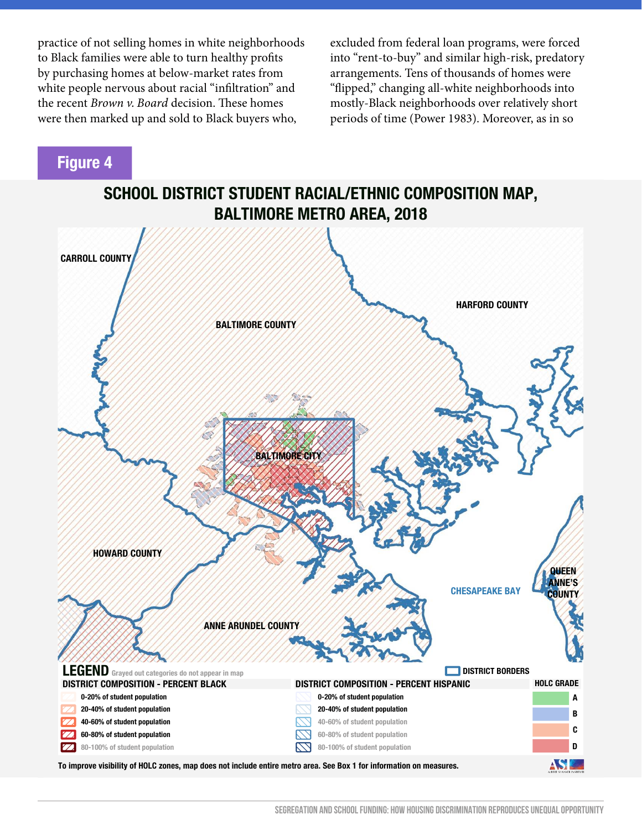practice of not selling homes in white neighborhoods to Black families were able to turn healthy profits by purchasing homes at below-market rates from white people nervous about racial "infiltration" and the recent *Brown v. Board* decision. These homes were then marked up and sold to Black buyers who,

excluded from federal loan programs, were forced into "rent-to-buy" and similar high-risk, predatory arrangements. Tens of thousands of homes were "flipped," changing all-white neighborhoods into mostly-Black neighborhoods over relatively short periods of time (Power 1983). Moreover, as in so

## **Figure 4**

**SCHOOL DISTRICT STUDENT RACIAL/ETHNIC COMPOSITION MAP, BALTIMORE METRO AREA, 2018**

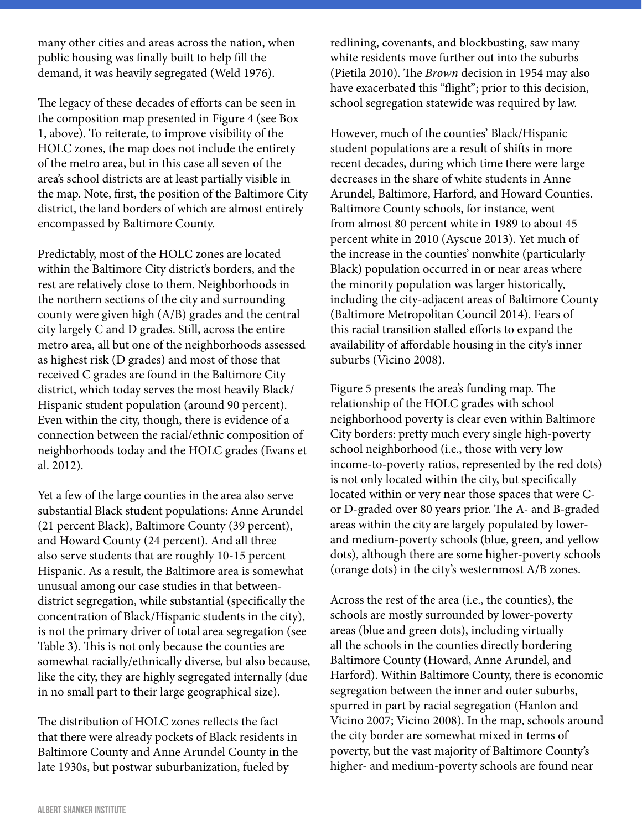many other cities and areas across the nation, when public housing was finally built to help fill the demand, it was heavily segregated (Weld 1976).

The legacy of these decades of efforts can be seen in the composition map presented in Figure 4 (see Box 1, above). To reiterate, to improve visibility of the HOLC zones, the map does not include the entirety of the metro area, but in this case all seven of the area's school districts are at least partially visible in the map. Note, first, the position of the Baltimore City district, the land borders of which are almost entirely encompassed by Baltimore County.

Predictably, most of the HOLC zones are located within the Baltimore City district's borders, and the rest are relatively close to them. Neighborhoods in the northern sections of the city and surrounding county were given high (A/B) grades and the central city largely C and D grades. Still, across the entire metro area, all but one of the neighborhoods assessed as highest risk (D grades) and most of those that received C grades are found in the Baltimore City district, which today serves the most heavily Black/ Hispanic student population (around 90 percent). Even within the city, though, there is evidence of a connection between the racial/ethnic composition of neighborhoods today and the HOLC grades (Evans et al. 2012).

Yet a few of the large counties in the area also serve substantial Black student populations: Anne Arundel (21 percent Black), Baltimore County (39 percent), and Howard County (24 percent). And all three also serve students that are roughly 10-15 percent Hispanic. As a result, the Baltimore area is somewhat unusual among our case studies in that betweendistrict segregation, while substantial (specifically the concentration of Black/Hispanic students in the city), is not the primary driver of total area segregation (see Table 3). This is not only because the counties are somewhat racially/ethnically diverse, but also because, like the city, they are highly segregated internally (due in no small part to their large geographical size).

The distribution of HOLC zones reflects the fact that there were already pockets of Black residents in Baltimore County and Anne Arundel County in the late 1930s, but postwar suburbanization, fueled by

redlining, covenants, and blockbusting, saw many white residents move further out into the suburbs (Pietila 2010). The *Brown* decision in 1954 may also have exacerbated this "flight"; prior to this decision, school segregation statewide was required by law.

However, much of the counties' Black/Hispanic student populations are a result of shifts in more recent decades, during which time there were large decreases in the share of white students in Anne Arundel, Baltimore, Harford, and Howard Counties. Baltimore County schools, for instance, went from almost 80 percent white in 1989 to about 45 percent white in 2010 (Ayscue 2013). Yet much of the increase in the counties' nonwhite (particularly Black) population occurred in or near areas where the minority population was larger historically, including the city-adjacent areas of Baltimore County (Baltimore Metropolitan Council 2014). Fears of this racial transition stalled efforts to expand the availability of affordable housing in the city's inner suburbs (Vicino 2008).

Figure 5 presents the area's funding map. The relationship of the HOLC grades with school neighborhood poverty is clear even within Baltimore City borders: pretty much every single high-poverty school neighborhood (i.e., those with very low income-to-poverty ratios, represented by the red dots) is not only located within the city, but specifically located within or very near those spaces that were Cor D-graded over 80 years prior. The A- and B-graded areas within the city are largely populated by lowerand medium-poverty schools (blue, green, and yellow dots), although there are some higher-poverty schools (orange dots) in the city's westernmost A/B zones.

Across the rest of the area (i.e., the counties), the schools are mostly surrounded by lower-poverty areas (blue and green dots), including virtually all the schools in the counties directly bordering Baltimore County (Howard, Anne Arundel, and Harford). Within Baltimore County, there is economic segregation between the inner and outer suburbs, spurred in part by racial segregation (Hanlon and Vicino 2007; Vicino 2008). In the map, schools around the city border are somewhat mixed in terms of poverty, but the vast majority of Baltimore County's higher- and medium-poverty schools are found near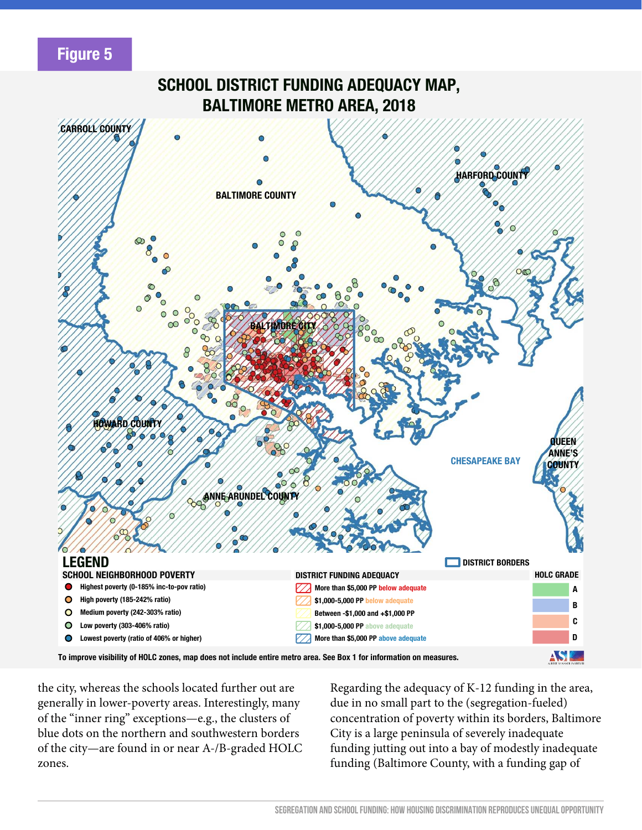## **Figure 5**



**To improve visibility of HOLC zones, map does not include entire metro area. See Box 1 for information on measures.**

the city, whereas the schools located further out are generally in lower-poverty areas. Interestingly, many of the "inner ring" exceptions—e.g., the clusters of blue dots on the northern and southwestern borders of the city—are found in or near A-/B-graded HOLC zones.

Regarding the adequacy of K-12 funding in the area, due in no small part to the (segregation-fueled) concentration of poverty within its borders, Baltimore City is a large peninsula of severely inadequate funding jutting out into a bay of modestly inadequate funding (Baltimore County, with a funding gap of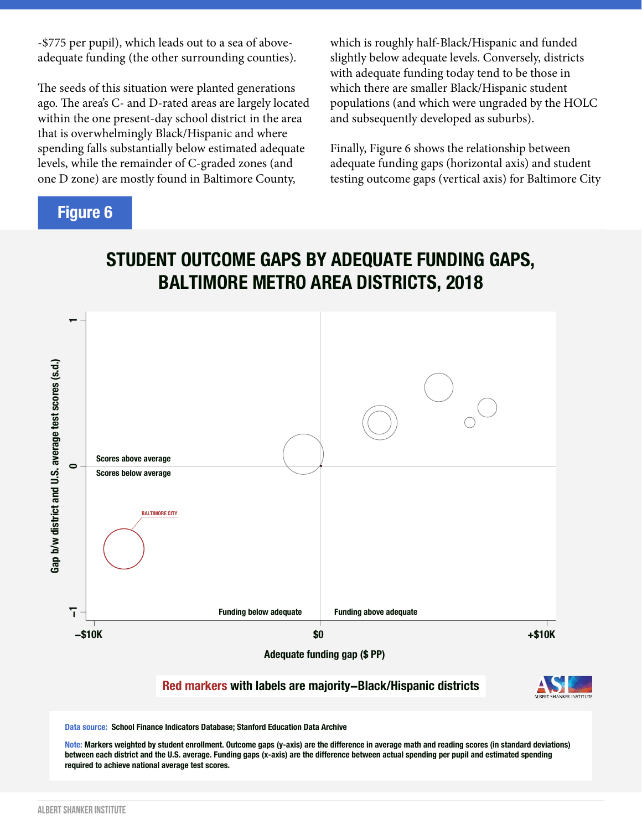-\$775 per pupil), which leads out to a sea of aboveadequate funding (the other surrounding counties).

The seeds of this situation were planted generations ago. The area's C- and D-rated areas are largely located within the one present-day school district in the area that is overwhelmingly Black/Hispanic and where spending falls substantially below estimated adequate levels, while the remainder of C-graded zones (and one D zone) are mostly found in Baltimore County,

**Figure 6**

which is roughly half-Black/Hispanic and funded slightly below adequate levels. Conversely, districts with adequate funding today tend to be those in which there are smaller Black/Hispanic student populations (and which were ungraded by the HOLC and subsequently developed as suburbs).

Finally, Figure 6 shows the relationship between adequate funding gaps (horizontal axis) and student testing outcome gaps (vertical axis) for Baltimore City



## **Red markers with labels are majority−Black/Hispanic districts**



**Data source: School Finance Indicators Database; Stanford Education Data Archive**

**Note: Markers weighted by student enrollment. Outcome gaps (y-axis) are the difference in average math and reading scores (in standard deviations) between each district and the U.S. average. Funding gaps (x-axis) are the difference between actual spending per pupil and estimated spending required to achieve national average test scores.**